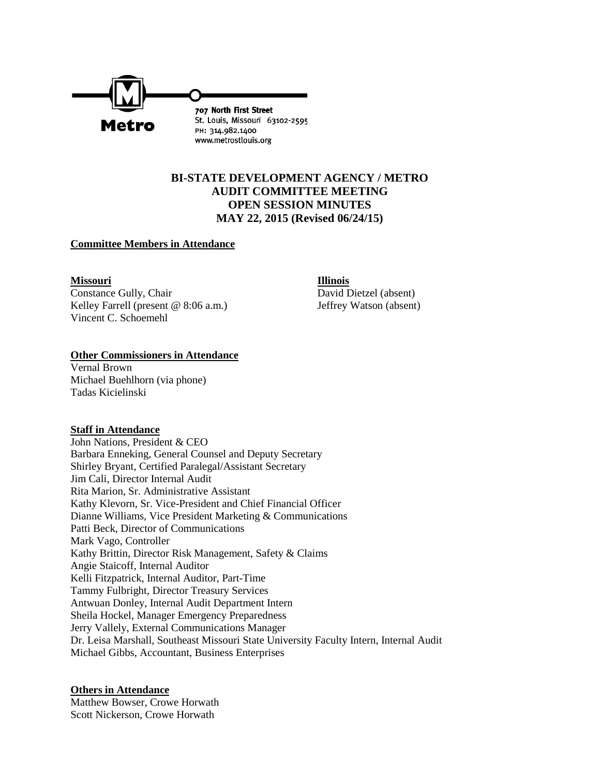

# **BI-STATE DEVELOPMENT AGENCY / METRO AUDIT COMMITTEE MEETING OPEN SESSION MINUTES MAY 22, 2015 (Revised 06/24/15)**

# **Committee Members in Attendance**

#### **Missouri Illinois**

Constance Gully, Chair David Dietzel (absent) Kelley Farrell (present @ 8:06 a.m.) Jeffrey Watson (absent) Vincent C. Schoemehl

# **Other Commissioners in Attendance**

Vernal Brown Michael Buehlhorn (via phone) Tadas Kicielinski

# **Staff in Attendance**

John Nations, President & CEO Barbara Enneking, General Counsel and Deputy Secretary Shirley Bryant, Certified Paralegal/Assistant Secretary Jim Cali, Director Internal Audit Rita Marion, Sr. Administrative Assistant Kathy Klevorn, Sr. Vice-President and Chief Financial Officer Dianne Williams, Vice President Marketing & Communications Patti Beck, Director of Communications Mark Vago, Controller Kathy Brittin, Director Risk Management, Safety & Claims Angie Staicoff, Internal Auditor Kelli Fitzpatrick, Internal Auditor, Part-Time Tammy Fulbright, Director Treasury Services Antwuan Donley, Internal Audit Department Intern Sheila Hockel, Manager Emergency Preparedness Jerry Vallely, External Communications Manager Dr. Leisa Marshall, Southeast Missouri State University Faculty Intern, Internal Audit Michael Gibbs, Accountant, Business Enterprises

# **Others in Attendance**

Matthew Bowser, Crowe Horwath Scott Nickerson, Crowe Horwath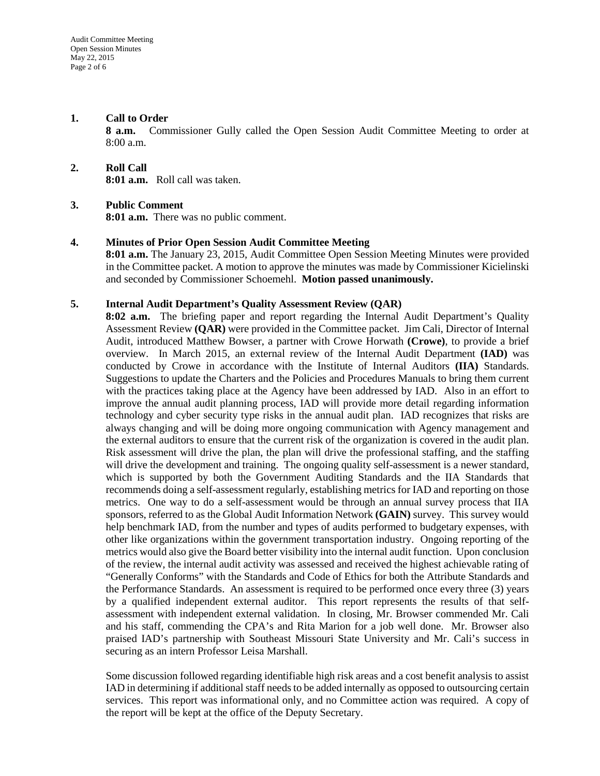# **1. Call to Order**

**8 a.m.** Commissioner Gully called the Open Session Audit Committee Meeting to order at 8:00 a.m.

**2. Roll Call 8:01 a.m.** Roll call was taken.

#### **3. Public Comment**

**8:01 a.m.** There was no public comment.

#### **4. Minutes of Prior Open Session Audit Committee Meeting**

**8:01 a.m.** The January 23, 2015, Audit Committee Open Session Meeting Minutes were provided in the Committee packet. A motion to approve the minutes was made by Commissioner Kicielinski and seconded by Commissioner Schoemehl. **Motion passed unanimously.**

# **5. Internal Audit Department's Quality Assessment Review (QAR)**

**8:02 a.m.** The briefing paper and report regarding the Internal Audit Department's Quality Assessment Review **(QAR)** were provided in the Committee packet. Jim Cali, Director of Internal Audit, introduced Matthew Bowser, a partner with Crowe Horwath **(Crowe)**, to provide a brief overview. In March 2015, an external review of the Internal Audit Department **(IAD)** was conducted by Crowe in accordance with the Institute of Internal Auditors **(IIA)** Standards. Suggestions to update the Charters and the Policies and Procedures Manuals to bring them current with the practices taking place at the Agency have been addressed by IAD. Also in an effort to improve the annual audit planning process, IAD will provide more detail regarding information technology and cyber security type risks in the annual audit plan. IAD recognizes that risks are always changing and will be doing more ongoing communication with Agency management and the external auditors to ensure that the current risk of the organization is covered in the audit plan. Risk assessment will drive the plan, the plan will drive the professional staffing, and the staffing will drive the development and training. The ongoing quality self-assessment is a newer standard, which is supported by both the Government Auditing Standards and the IIA Standards that recommends doing a self-assessment regularly, establishing metrics for IAD and reporting on those metrics. One way to do a self-assessment would be through an annual survey process that IIA sponsors, referred to as the Global Audit Information Network **(GAIN)** survey. This survey would help benchmark IAD, from the number and types of audits performed to budgetary expenses, with other like organizations within the government transportation industry. Ongoing reporting of the metrics would also give the Board better visibility into the internal audit function. Upon conclusion of the review, the internal audit activity was assessed and received the highest achievable rating of "Generally Conforms" with the Standards and Code of Ethics for both the Attribute Standards and the Performance Standards. An assessment is required to be performed once every three (3) years by a qualified independent external auditor. This report represents the results of that selfassessment with independent external validation. In closing, Mr. Browser commended Mr. Cali and his staff, commending the CPA's and Rita Marion for a job well done. Mr. Browser also praised IAD's partnership with Southeast Missouri State University and Mr. Cali's success in securing as an intern Professor Leisa Marshall.

Some discussion followed regarding identifiable high risk areas and a cost benefit analysis to assist IAD in determining if additional staff needsto be added internally as opposed to outsourcing certain services. This report was informational only, and no Committee action was required. A copy of the report will be kept at the office of the Deputy Secretary.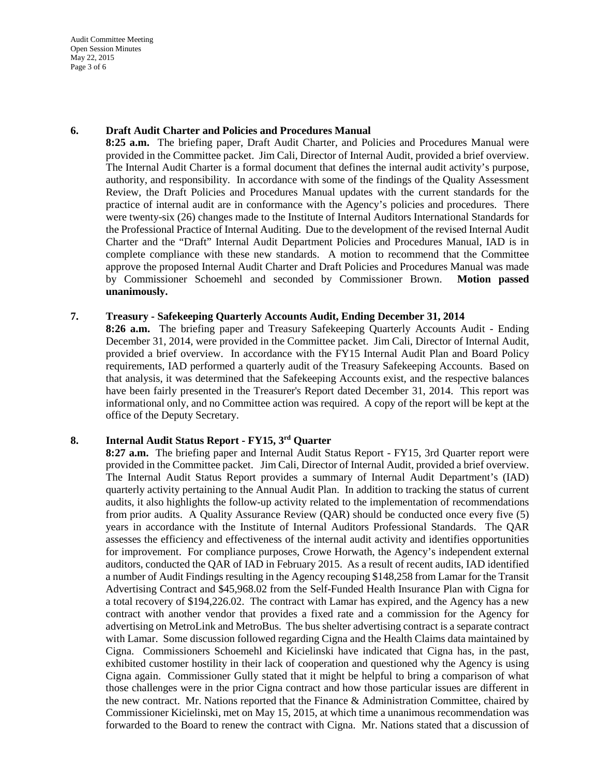Audit Committee Meeting Open Session Minutes May 22, 2015 Page 3 of 6

#### **6. Draft Audit Charter and Policies and Procedures Manual**

**8:25 a.m.** The briefing paper, Draft Audit Charter, and Policies and Procedures Manual were provided in the Committee packet. Jim Cali, Director of Internal Audit, provided a brief overview. The Internal Audit Charter is a formal document that defines the internal audit activity's purpose, authority, and responsibility. In accordance with some of the findings of the Quality Assessment Review, the Draft Policies and Procedures Manual updates with the current standards for the practice of internal audit are in conformance with the Agency's policies and procedures. There were twenty-six (26) changes made to the Institute of Internal Auditors International Standards for the Professional Practice of Internal Auditing. Due to the development of the revised Internal Audit Charter and the "Draft" Internal Audit Department Policies and Procedures Manual, IAD is in complete compliance with these new standards. A motion to recommend that the Committee approve the proposed Internal Audit Charter and Draft Policies and Procedures Manual was made by Commissioner Schoemehl and seconded by Commissioner Brown. **Motion passed unanimously.** 

#### **7. Treasury - Safekeeping Quarterly Accounts Audit, Ending December 31, 2014**

**8:26 a.m.** The briefing paper and Treasury Safekeeping Quarterly Accounts Audit - Ending December 31, 2014, were provided in the Committee packet. Jim Cali, Director of Internal Audit, provided a brief overview. In accordance with the FY15 Internal Audit Plan and Board Policy requirements, IAD performed a quarterly audit of the Treasury Safekeeping Accounts. Based on that analysis, it was determined that the Safekeeping Accounts exist, and the respective balances have been fairly presented in the Treasurer's Report dated December 31, 2014. This report was informational only, and no Committee action was required. A copy of the report will be kept at the office of the Deputy Secretary.

# **8. Internal Audit Status Report - FY15, 3rd Quarter**

**8:27 a.m.** The briefing paper and Internal Audit Status Report - FY15, 3rd Quarter report were provided in the Committee packet. Jim Cali, Director of Internal Audit, provided a brief overview. The Internal Audit Status Report provides a summary of Internal Audit Department's (IAD) quarterly activity pertaining to the Annual Audit Plan. In addition to tracking the status of current audits, it also highlights the follow-up activity related to the implementation of recommendations from prior audits. A Quality Assurance Review (QAR) should be conducted once every five (5) years in accordance with the Institute of Internal Auditors Professional Standards. The QAR assesses the efficiency and effectiveness of the internal audit activity and identifies opportunities for improvement. For compliance purposes, Crowe Horwath, the Agency's independent external auditors, conducted the QAR of IAD in February 2015. As a result of recent audits, IAD identified a number of Audit Findings resulting in the Agency recouping \$148,258 from Lamar for the Transit Advertising Contract and \$45,968.02 from the Self-Funded Health Insurance Plan with Cigna for a total recovery of \$194,226.02. The contract with Lamar has expired, and the Agency has a new contract with another vendor that provides a fixed rate and a commission for the Agency for advertising on MetroLink and MetroBus. The bus shelter advertising contract is a separate contract with Lamar. Some discussion followed regarding Cigna and the Health Claims data maintained by Cigna. Commissioners Schoemehl and Kicielinski have indicated that Cigna has, in the past, exhibited customer hostility in their lack of cooperation and questioned why the Agency is using Cigna again. Commissioner Gully stated that it might be helpful to bring a comparison of what those challenges were in the prior Cigna contract and how those particular issues are different in the new contract. Mr. Nations reported that the Finance & Administration Committee, chaired by Commissioner Kicielinski, met on May 15, 2015, at which time a unanimous recommendation was forwarded to the Board to renew the contract with Cigna. Mr. Nations stated that a discussion of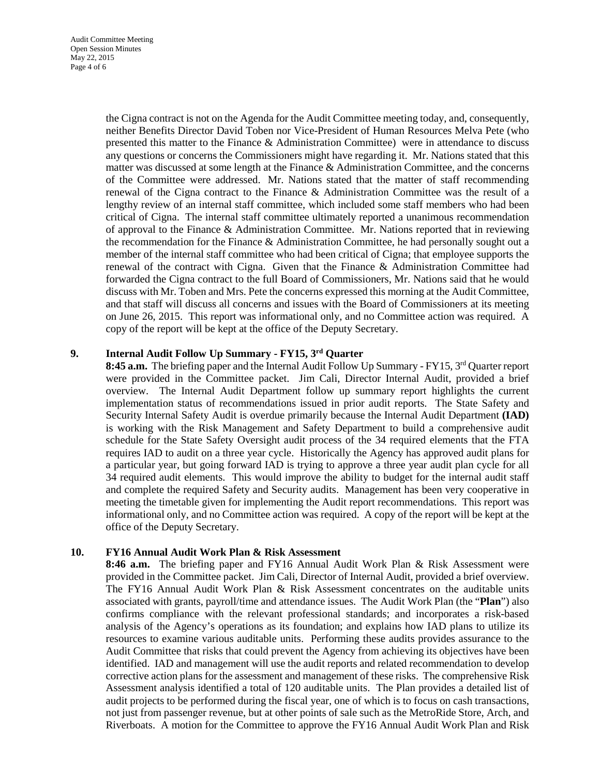the Cigna contract is not on the Agenda for the Audit Committee meeting today, and, consequently, neither Benefits Director David Toben nor Vice-President of Human Resources Melva Pete (who presented this matter to the Finance & Administration Committee) were in attendance to discuss any questions or concerns the Commissioners might have regarding it. Mr. Nations stated that this matter was discussed at some length at the Finance & Administration Committee, and the concerns of the Committee were addressed. Mr. Nations stated that the matter of staff recommending renewal of the Cigna contract to the Finance & Administration Committee was the result of a lengthy review of an internal staff committee, which included some staff members who had been critical of Cigna. The internal staff committee ultimately reported a unanimous recommendation of approval to the Finance & Administration Committee. Mr. Nations reported that in reviewing the recommendation for the Finance & Administration Committee, he had personally sought out a member of the internal staff committee who had been critical of Cigna; that employee supports the renewal of the contract with Cigna. Given that the Finance & Administration Committee had forwarded the Cigna contract to the full Board of Commissioners, Mr. Nations said that he would discuss with Mr. Toben and Mrs. Pete the concerns expressed this morning at the Audit Committee, and that staff will discuss all concerns and issues with the Board of Commissioners at its meeting on June 26, 2015. This report was informational only, and no Committee action was required. A copy of the report will be kept at the office of the Deputy Secretary.

# **9. Internal Audit Follow Up Summary - FY15, 3rd Quarter**

8:45 **a.m.** The briefing paper and the Internal Audit Follow Up Summary - FY15, 3<sup>rd</sup> Quarter report were provided in the Committee packet. Jim Cali, Director Internal Audit, provided a brief overview. The Internal Audit Department follow up summary report highlights the current implementation status of recommendations issued in prior audit reports. The State Safety and Security Internal Safety Audit is overdue primarily because the Internal Audit Department **(IAD)**  is working with the Risk Management and Safety Department to build a comprehensive audit schedule for the State Safety Oversight audit process of the 34 required elements that the FTA requires IAD to audit on a three year cycle. Historically the Agency has approved audit plans for a particular year, but going forward IAD is trying to approve a three year audit plan cycle for all 34 required audit elements. This would improve the ability to budget for the internal audit staff and complete the required Safety and Security audits. Management has been very cooperative in meeting the timetable given for implementing the Audit report recommendations. This report was informational only, and no Committee action was required. A copy of the report will be kept at the office of the Deputy Secretary.

# **10. FY16 Annual Audit Work Plan & Risk Assessment**

**8:46 a.m.** The briefing paper and FY16 Annual Audit Work Plan & Risk Assessment were provided in the Committee packet. Jim Cali, Director of Internal Audit, provided a brief overview. The FY16 Annual Audit Work Plan & Risk Assessment concentrates on the auditable units associated with grants, payroll/time and attendance issues. The Audit Work Plan (the "**Plan**") also confirms compliance with the relevant professional standards; and incorporates a risk-based analysis of the Agency's operations as its foundation; and explains how IAD plans to utilize its resources to examine various auditable units. Performing these audits provides assurance to the Audit Committee that risks that could prevent the Agency from achieving its objectives have been identified. IAD and management will use the audit reports and related recommendation to develop corrective action plans for the assessment and management of these risks. The comprehensive Risk Assessment analysis identified a total of 120 auditable units. The Plan provides a detailed list of audit projects to be performed during the fiscal year, one of which is to focus on cash transactions, not just from passenger revenue, but at other points of sale such as the MetroRide Store, Arch, and Riverboats. A motion for the Committee to approve the FY16 Annual Audit Work Plan and Risk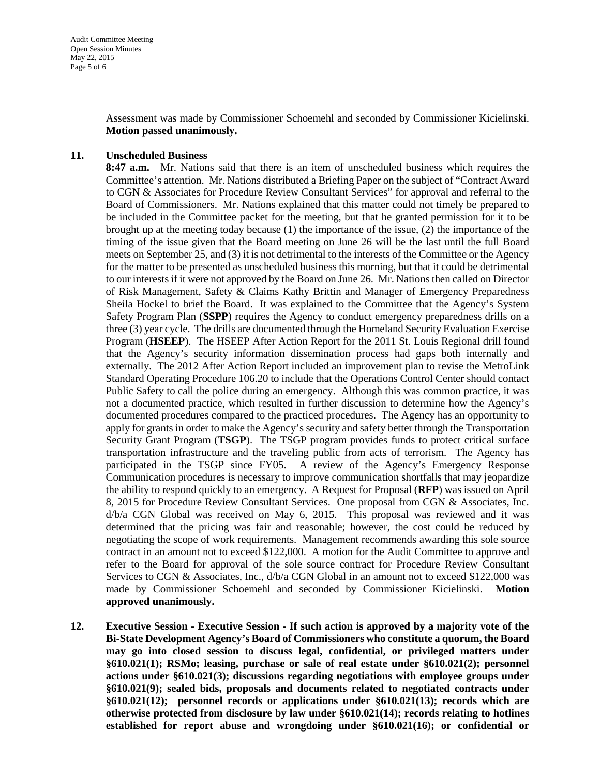Assessment was made by Commissioner Schoemehl and seconded by Commissioner Kicielinski. **Motion passed unanimously.**

#### **11. Unscheduled Business**

**8:47 a.m.** Mr. Nations said that there is an item of unscheduled business which requires the Committee's attention. Mr. Nations distributed a Briefing Paper on the subject of "Contract Award to CGN & Associates for Procedure Review Consultant Services" for approval and referral to the Board of Commissioners. Mr. Nations explained that this matter could not timely be prepared to be included in the Committee packet for the meeting, but that he granted permission for it to be brought up at the meeting today because (1) the importance of the issue, (2) the importance of the timing of the issue given that the Board meeting on June 26 will be the last until the full Board meets on September 25, and (3) it is not detrimental to the interests of the Committee or the Agency for the matter to be presented as unscheduled business this morning, but that it could be detrimental to our interests if it were not approved by the Board on June 26. Mr. Nations then called on Director of Risk Management, Safety & Claims Kathy Brittin and Manager of Emergency Preparedness Sheila Hockel to brief the Board. It was explained to the Committee that the Agency's System Safety Program Plan (**SSPP**) requires the Agency to conduct emergency preparedness drills on a three (3) year cycle. The drills are documented through the Homeland Security Evaluation Exercise Program (**HSEEP**). The HSEEP After Action Report for the 2011 St. Louis Regional drill found that the Agency's security information dissemination process had gaps both internally and externally. The 2012 After Action Report included an improvement plan to revise the MetroLink Standard Operating Procedure 106.20 to include that the Operations Control Center should contact Public Safety to call the police during an emergency. Although this was common practice, it was not a documented practice, which resulted in further discussion to determine how the Agency's documented procedures compared to the practiced procedures. The Agency has an opportunity to apply for grants in order to make the Agency's security and safety better through the Transportation Security Grant Program (**TSGP**). The TSGP program provides funds to protect critical surface transportation infrastructure and the traveling public from acts of terrorism. The Agency has participated in the TSGP since FY05. A review of the Agency's Emergency Response Communication procedures is necessary to improve communication shortfalls that may jeopardize the ability to respond quickly to an emergency. A Request for Proposal (**RFP**) was issued on April 8, 2015 for Procedure Review Consultant Services. One proposal from CGN & Associates, Inc. d/b/a CGN Global was received on May 6, 2015. This proposal was reviewed and it was determined that the pricing was fair and reasonable; however, the cost could be reduced by negotiating the scope of work requirements. Management recommends awarding this sole source contract in an amount not to exceed \$122,000. A motion for the Audit Committee to approve and refer to the Board for approval of the sole source contract for Procedure Review Consultant Services to CGN & Associates, Inc.,  $d/b/a$  CGN Global in an amount not to exceed \$122,000 was made by Commissioner Schoemehl and seconded by Commissioner Kicielinski. **Motion approved unanimously.** 

**12. Executive Session - Executive Session - If such action is approved by a majority vote of the Bi-State Development Agency's Board of Commissioners who constitute a quorum, the Board may go into closed session to discuss legal, confidential, or privileged matters under §610.021(1); RSMo; leasing, purchase or sale of real estate under §610.021(2); personnel actions under §610.021(3); discussions regarding negotiations with employee groups under §610.021(9); sealed bids, proposals and documents related to negotiated contracts under §610.021(12); personnel records or applications under §610.021(13); records which are otherwise protected from disclosure by law under §610.021(14); records relating to hotlines established for report abuse and wrongdoing under §610.021(16); or confidential or**